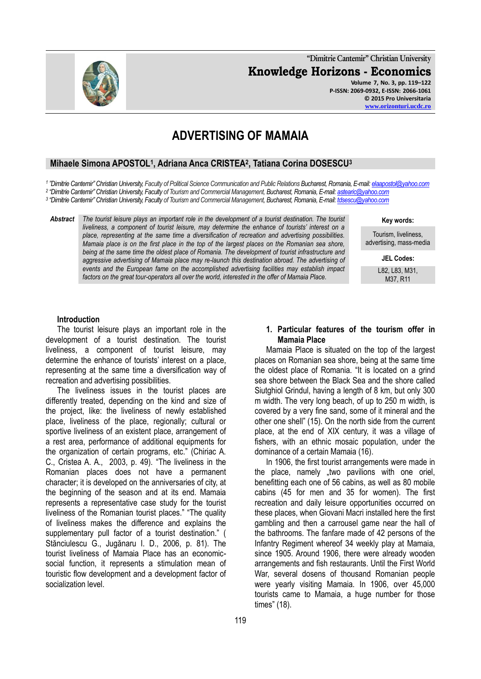

**"Dimitrie Cantemir" Christian University Knowledge Horizons - Economics Volume 7, No. 3, pp. 119–122**

**P-ISSN: 2069-0932, E-ISSN: 2066-1061 © 2015 Pro Universitaria [www.orizonturi.ucdc.ro](http://www.orizonturi.ucdc.ro/)**

# **ADVERTISING OF MAMAIA**

## **Mihaele Simona APOSTOL<sup>1</sup> , Adriana Anca CRISTEA<sup>2</sup> , Tatiana Corina DOSESCU<sup>3</sup>**

*1 "Dimitrie Cantemir" Christian University, Faculty of Political Science Communication and Public Relations Bucharest, Romania, E-mail[: elaapostol@yahoo.com](mailto:elaapostol@yahoo.com)*

*2 "Dimitrie Cantemir" Christian University, Faculty of Tourism and Commercial Management, Bucharest, Romania, E-mail: [astearic@yahoo.com](mailto:astearic@yahoo.com)*

*3 "Dimitrie Cantemir" Christian University, Faculty of Tourism and Commercial Management, Bucharest, Romania, E-mail: [tdsescu@yahoo.com](mailto:tdsescu@yahoo.com)*

*Abstract The tourist leisure plays an important role in the development of a tourist destination. The tourist liveliness, a component of tourist leisure, may determine the enhance of tourists' interest on a place, representing at the same time a diversification of recreation and advertising possibilities. Mamaia place is on the first place in the top of the largest places on the Romanian sea shore, being at the same time the oldest place of Romania. The development of tourist infrastructure and aggressive advertising of Mamaia place may re-launch this destination abroad. The advertising of events and the European fame on the accomplished advertising facilities may establish impact factors on the great tour-operators all over the world, interested in the offer of Mamaia Place.* 

**Key words:**

Tourism, liveliness, advertising, mass-media

**JEL Codes:**

L82, L83, M31, M37, R11

### **Introduction**

The tourist leisure plays an important role in the development of a tourist destination. The tourist liveliness, a component of tourist leisure, may determine the enhance of tourists' interest on a place, representing at the same time a diversification way of recreation and advertising possibilities.

The liveliness issues in the tourist places are differently treated, depending on the kind and size of the project, like: the liveliness of newly established place, liveliness of the place, regionally; cultural or sportive liveliness of an existent place, arrangement of a rest area, performance of additional equipments for the organization of certain programs, etc." (Chiriac A. C., Cristea A. A., 2003, p. 49). "The liveliness in the Romanian places does not have a permanent character; it is developed on the anniversaries of city, at the beginning of the season and at its end. Mamaia represents a representative case study for the tourist liveliness of the Romanian tourist places." "The quality of liveliness makes the difference and explains the supplementary pull factor of a tourist destination." ( Stănciulescu G., Jugănaru I. D., 2006, p. 81). The tourist liveliness of Mamaia Place has an economicsocial function, it represents a stimulation mean of touristic flow development and a development factor of socialization level.

## **1. Particular features of the tourism offer in Mamaia Place**

Mamaia Place is situated on the top of the largest places on Romanian sea shore, being at the same time the oldest place of Romania. "It is located on a grind sea shore between the Black Sea and the shore called [Siutghiol](http://ro.wikipedia.org/wiki/Lacul_Siutghiol) Grindul, having a length of 8 km, but only 300 m width. The very long beach, of up to 250 m width, is covered by a very fine sand, some of it mineral and the other one shell" ([15\)](http://ro.wikipedia.org/wiki/Mamaia). On the north side from the current place, at the end of XIX century, it was a village of fishers, with an ethnic mosaic population, under the dominance of a certain Mamaia (16).

In 1906, the first tourist arrangements were made in the place, namely "two pavilions with one oriel, benefitting each one of 56 cabins, as well as 80 mobile cabins (45 for men and 35 for women). The first recreation and daily leisure opportunities occurred on these places, when Giovani Macri installed here the first gambling and then a carrousel game near the hall of the bathrooms. The fanfare made of 42 persons of the Infantry Regiment whereof 34 weekly play at Mamaia, since 1905. Around 1906, there were already wooden arrangements and fish restaurants. Until the First World War, several dosens of thousand Romanian people were yearly visiting Mamaia. In 1906, over 45,000 tourists came to Mamaia, a huge number for those times" ([18\)](http://vladimirrosulescu-storie.blogspot.ro/2012/09/mamaia.html).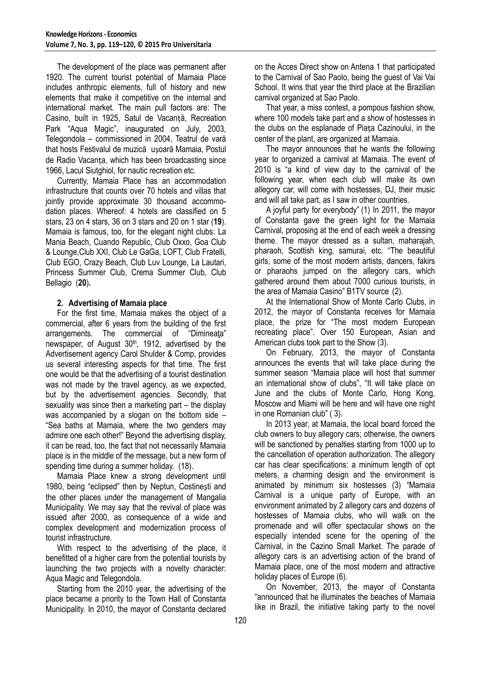The development of the place was permanent after 1920. The current tourist potential of Mamaia Place includes anthropic elements, full of history and new elements that make it competitive on the internal and international market. The main pull factors are: The Casino, built in 1925, Satul de Vacanță, Recreation Park "Aqua Magic", inaugurated on July, 2003, Telegondola – commissioned in 2004, Teatrul de vară that hosts Festivalul de muzică ușoară Mamaia, Postul de Radio Vacanța, which has been broadcasting since 1966, Lacul Siutghiol, for nautic recreation etc.

Currently, Mamaia Place has an accommodation infrastructure that counts over 70 hotels and villas that jointly provide approximate 30 thousand accommodation places. Whereof: 4 hotels are classified on 5 stars, 23 on 4 stars, 36 on 3 stars and 20 on 1 star (**19**). Mamaia is famous, too, for the elegant night clubs: La Mania Beach, Cuando Republic, Club Oxxo, Goa Club & Lounge,Club XXI, Club Le GaGa, LOFT, Club Fratelli, Club EGO, Crazy Beach, Club Luv Lounge, La Lautari, [Princess Summer Club, Crema Summer Club, Club](http://www.mamaiaonline.com/cluburi-mamaia/497-princess-summer-club-mamaia)  [Bellagio \(](http://www.mamaiaonline.com/cluburi-mamaia/497-princess-summer-club-mamaia)**20**)**.**

## **2. Advertising of Mamaia place**

For the first time, Mamaia makes the object of a commercial, after 6 years from the building of the first arrangements. The commercial of "Dimineata" newspaper, of August 30<sup>th</sup>, 1912, advertised by the Advertisement agency Carol Shulder & Comp, provides us several interesting aspects for that time. The first one would be that the advertising of a tourist destination was not made by the travel agency, as we expected. but by the advertisement agencies. Secondly, that sexuality was since then a marketing part – the display was accompanied by a slogan on the bottom side – "Sea baths at Mamaia, where the two genders may admire one each other!" Beyond the advertising display, it can be read, too, the fact that not necessarily Mamaia place is in the middle of the message, but a new form of spending time during a summer holiday. [\(18\)](http://vladimirrosulescu-istorie.blogspot.ro/2012/09/mamaia.html).

Mamaia Place knew a strong development until 1980, being "eclipsed" then by Neptun, Costinești and the other places under the management of Mangalia Municipality. We may say that the revival of place was issued after 2000, as consequence of a wide and complex development and modernization process of tourist infrastructure.

With respect to the advertising of the place, it benefitted of a higher care from the potential tourists by launching the two projects with a novelty character: Aqua Magic and Telegondola.

Starting from the 2010 year, the advertising of the place became a priority to the Town Hall of Constanta Municipality. In 2010, the mayor of Constanta declared on the Acces Direct show on Antena 1 that participated to the Carnival of Sao Paolo, being the guest of Vai Vai School. It wins that year the third place at the Brazilian carnival organized at Sao Paolo.

That year, a miss contest, a pompous fashion show, where 100 models take part and a show of hostesses in the clubs on the esplanade of Piața Cazinoului, in the center of the plant, are organized at Mamaia.

The mayor announces that he wants the following year to organized a carnival at Mamaia. The event of 2010 is "a kind of view day to the carnival of the following year, when each club will make its own allegory car, will come with hostesses, DJ, their music and will all take part, as I saw in other countries.

A joyful party for everybody" (1) In 2011, the mayor of Constanta gave the green light for the Mamaia Carnival, proposing at the end of each week a dressing theme. The mayor dressed as a sultan, maharajah, pharaoh, Scottish king, samurai, etc. "The beautiful girls, some of the most modern artists, dancers, fakirs or pharaohs jumped on the allegory cars, which gathered around them about 7000 curious tourists, in the area of Mamaia Casino" B1TV source (2).

At the International Show of Monte Carlo Clubs, in 2012, the mayor of Constanta receives for Mamaia place, the prize for "The most modern European recreating place". Over 150 European, Asian and American clubs took part to the Show (3).

On February, 2013, the mayor of Constanta announces the events that will take place during the summer season "Mamaia place will host that summer an international show of clubs", "It will take place on June and the clubs of Monte Carlo, Hong Kong, Moscow and Miami will be here and will have one night in one Romanian club" ( 3).

In 2013 year, at Mamaia, the local board forced the club owners to buy allegory cars; otherwise, the owners will be sanctioned by penalties starting from 1000 up to the cancellation of operation authorization. The allegory car has clear specifications: a minimum length of opt meters, a charming design and the environment is animated by minimum six hostesses (3) "Mamaia Carnival is a unique party of Europe, with an environment animated by 2 allegory cars and dozens of hostesses of Mamaia clubs, who will walk on the promenade and will offer spectacular shows on the especially intended scene for the opening of the Carnival, in the Cazino Small Market. The parade of allegory cars is an advertising action of the brand of Mamaia place, one of the most modern and attractive holiday places of Europe (6).

On November, 2013, the mayor of Constanta "announced that he illuminates the beaches of Mamaia like in Brazil, the initiative taking party to the novel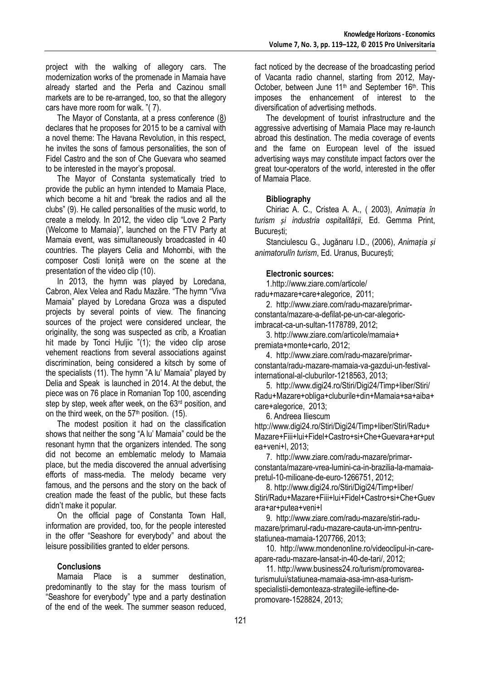project with the walking of allegory cars. The modernization works of the promenade in Mamaia have already started and the Perla and Cazinou small markets are to be re-arranged, too, so that the allegory cars have more room for walk. "( 7).

The Mayor of Constanta, at a press conference [\(8\)](http://www.digi24.ro/Stiri/Digi24/Timp+liber/Stiri/Radu+Mazare+Fiii+lui+Fidel+Castro+si+Che+Guevara+ar+putea+veni+l) declares that he proposes for 2015 to be a carnival with a novel theme: The Havana Revolution, in this respect, he invites the sons of famous personalities, the son of Fidel Castro and the son of Che Guevara who seamed to be interested in the mayor's proposal.

The Mayor of Constanta systematically tried to provide the public an hymn intended to Mamaia Place, which become a hit and "break the radios and all the clubs" (9). He called personalities of the music world, to create a melody. In 2012, the video clip "Love 2 Party (Welcome to Mamaia)", launched on the FTV Party at Mamaia event, was simultaneously broadcasted in 40 countries. The players Celia and Mohombi, with the composer Costi Ioniță were on the scene at the presentation of the video clip (10).

In 2013, the hymn was played by Loredana, Cabron, Alex Velea and Radu Mazăre. "The hymn "Viva Mamaia" played by Loredana Groza was a disputed projects by several points of view. The financing sources of the project were considered unclear, the originality, the song was suspected as crib, a Kroatian hit made by Tonci Huljic "(1); the video clip arose vehement reactions from several associations against discrimination, being considered a kitsch by some of the specialists (11). The hymn "A lu' Mamaia" played by Delia and Speak is launched in 2014. At the debut, the piece was on 76 place in Romanian Top 100, ascending step by step, week after week, on the 63<sup>rd</sup> position, and on the third week, on the  $57<sup>th</sup>$  position. (15).

The modest position it had on the classification shows that neither the song "A lu' Mamaia" could be the resonant hymn that the organizers intended. The song did not become an emblematic melody to Mamaia place, but the media discovered the annual advertising efforts of mass-media. The melody became very famous, and the persons and the story on the back of creation made the feast of the public, but these facts didn't make it popular.

On the official page of Constanta Town Hall, information are provided, too, for the people interested in the offer "Seashore for everybody" and about the leisure possibilities granted to elder persons.

### **Conclusions**

Mamaia Place is a summer destination, predominantly to the stay for the mass tourism of "Seashore for everybody" type and a party destination of the end of the week. The summer season reduced,

fact noticed by the decrease of the broadcasting period of Vacanta radio channel, starting from 2012, May-October, between June 11<sup>th</sup> and September 16<sup>th</sup>. This imposes the enhancement of interest to the diversification of advertising methods.

The development of tourist infrastructure and the aggressive advertising of Mamaia Place may re-launch abroad this destination. The media coverage of events and the fame on European level of the issued advertising ways may constitute impact factors over the great tour-operators of the world, interested in the offer of Mamaia Place.

## **Bibliography**

Chiriac A. C., Cristea A. A., ( 2003), *Animația în turism și industria ospitalității*, Ed. Gemma Print, București;

Stanciulescu G., Jugănaru I.D., (2006), *Animația și animatorulîn turism*, Ed. Uranus, București;

## **Electronic sources:**

1[.http://www.ziare.com/articole/](http://www.ziare.com/articole/) radu+mazare+care+alegorice, 2011;

2. [http://www.ziare.com/radu-mazare/primar](http://www.ziare.com/radu-mazare/primar-constanta/mazare-a-defilat-pe-un-car-alegoric-imbracat-ca-un-sultan-1178789)[constanta/mazare-a-defilat-pe-un-car-alegoric](http://www.ziare.com/radu-mazare/primar-constanta/mazare-a-defilat-pe-un-car-alegoric-imbracat-ca-un-sultan-1178789)[imbracat-ca-un-sultan-1178789,](http://www.ziare.com/radu-mazare/primar-constanta/mazare-a-defilat-pe-un-car-alegoric-imbracat-ca-un-sultan-1178789) 2012;

3[. http://www.ziare.com/articole/mamaia+](http://www.ziare.com/articole/mamaia+%20premiata+monte+carlo)  [premiata+monte+carlo,](http://www.ziare.com/articole/mamaia+%20premiata+monte+carlo) 2012;

4. [http://www.ziare.com/radu-mazare/primar](http://www.ziare.com/radu-mazare/primar-constanta/radu-mazare-mamaia-va-gazdui-un-festival-international-al-cluburilor-1218563)[constanta/radu-mazare-mamaia-va-gazdui-un-festival](http://www.ziare.com/radu-mazare/primar-constanta/radu-mazare-mamaia-va-gazdui-un-festival-international-al-cluburilor-1218563)[international-al-cluburilor-1218563,](http://www.ziare.com/radu-mazare/primar-constanta/radu-mazare-mamaia-va-gazdui-un-festival-international-al-cluburilor-1218563) 2013;

5. [http://www.digi24.ro/Stiri/Digi24/Timp+liber/Stiri/](http://www.digi24.ro/Stiri/Digi24/Timp+liber/Stiri/%20Radu+Mazare+obliga+cluburile+din+Mamaia+sa+aiba+care+alegorice)  [Radu+Mazare+obliga+cluburile+din+Mamaia+sa+aiba+](http://www.digi24.ro/Stiri/Digi24/Timp+liber/Stiri/%20Radu+Mazare+obliga+cluburile+din+Mamaia+sa+aiba+care+alegorice) [care+alegorice,](http://www.digi24.ro/Stiri/Digi24/Timp+liber/Stiri/%20Radu+Mazare+obliga+cluburile+din+Mamaia+sa+aiba+care+alegorice) 2013;

6. Andreea Iliescum

[http://www.digi24.ro/Stiri/Digi24/Timp+liber/Stiri/Radu+](http://www.digi24.ro/Stiri/Digi24/Timp+liber/Stiri/Radu+Mazare+Fiii+lui+Fidel+Castro+si+Che+Guevara+ar+putea+veni+l) [Mazare+Fiii+lui+Fidel+Castro+si+Che+Guevara+ar+put](http://www.digi24.ro/Stiri/Digi24/Timp+liber/Stiri/Radu+Mazare+Fiii+lui+Fidel+Castro+si+Che+Guevara+ar+putea+veni+l) [ea+veni+l,](http://www.digi24.ro/Stiri/Digi24/Timp+liber/Stiri/Radu+Mazare+Fiii+lui+Fidel+Castro+si+Che+Guevara+ar+putea+veni+l) 2013;

7. [http://www.ziare.com/radu-mazare/primar](http://www.ziare.com/radu-mazare/primar-constanta/mazare-vrea-lumini-ca-in-brazilia-la-mamaia-pretul-10-milioane-de-euro-1266751)[constanta/mazare-vrea-lumini-ca-in-brazilia-la-mamaia](http://www.ziare.com/radu-mazare/primar-constanta/mazare-vrea-lumini-ca-in-brazilia-la-mamaia-pretul-10-milioane-de-euro-1266751)[pretul-10-milioane-de-euro-1266751,](http://www.ziare.com/radu-mazare/primar-constanta/mazare-vrea-lumini-ca-in-brazilia-la-mamaia-pretul-10-milioane-de-euro-1266751) 2012;

8[. http://www.digi24.ro/Stiri/Digi24/Timp+liber/](http://www.digi24.ro/Stiri/Digi24/Timp+liber/%20Stiri/Radu+Mazare+Fiii+lui+Fidel+Castro+si+Che+Guevara+ar+putea+veni+l)  [Stiri/Radu+Mazare+Fiii+lui+Fidel+Castro+si+Che+Guev](http://www.digi24.ro/Stiri/Digi24/Timp+liber/%20Stiri/Radu+Mazare+Fiii+lui+Fidel+Castro+si+Che+Guevara+ar+putea+veni+l) [ara+ar+putea+veni+l](http://www.digi24.ro/Stiri/Digi24/Timp+liber/%20Stiri/Radu+Mazare+Fiii+lui+Fidel+Castro+si+Che+Guevara+ar+putea+veni+l)

9. [http://www.ziare.com/radu-mazare/stiri-radu](http://www.ziare.com/radu-mazare/stiri-radu-mazare/primarul-radu-mazare-cauta-un-imn-pentru-statiunea-mamaia-1207766)[mazare/primarul-radu-mazare-cauta-un-imn-pentru](http://www.ziare.com/radu-mazare/stiri-radu-mazare/primarul-radu-mazare-cauta-un-imn-pentru-statiunea-mamaia-1207766)[statiunea-mamaia-1207766,](http://www.ziare.com/radu-mazare/stiri-radu-mazare/primarul-radu-mazare-cauta-un-imn-pentru-statiunea-mamaia-1207766) 2013;

10. [http://www.mondenonline.ro/videoclipul-in-care](http://www.mondenonline.ro/videoclipul-in-care-apare-radu-mazare-lansat-in-40-de-tari/)[apare-radu-mazare-lansat-in-40-de-tari/,](http://www.mondenonline.ro/videoclipul-in-care-apare-radu-mazare-lansat-in-40-de-tari/) 2012;

11. [http://www.business24.ro/turism/promovarea](http://www.business24.ro/turism/promovarea-turismului/statiunea-mamaia-asa-imn-asa-turism-specialistii-demonteaza-strategiile-ieftine-de-promovare-1528824)[turismului/statiunea-mamaia-asa-imn-asa-turism](http://www.business24.ro/turism/promovarea-turismului/statiunea-mamaia-asa-imn-asa-turism-specialistii-demonteaza-strategiile-ieftine-de-promovare-1528824)[specialistii-demonteaza-strategiile-ieftine-de](http://www.business24.ro/turism/promovarea-turismului/statiunea-mamaia-asa-imn-asa-turism-specialistii-demonteaza-strategiile-ieftine-de-promovare-1528824)[promovare-1528824,](http://www.business24.ro/turism/promovarea-turismului/statiunea-mamaia-asa-imn-asa-turism-specialistii-demonteaza-strategiile-ieftine-de-promovare-1528824) 2013;